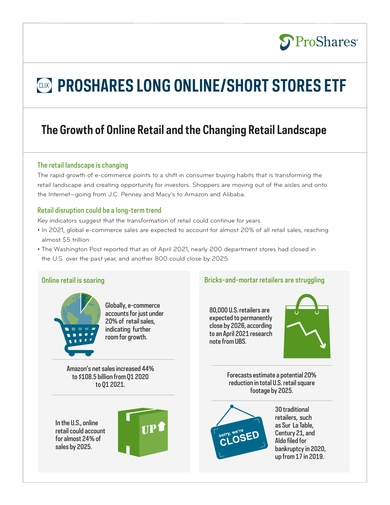## **S**ProShares®

# *CLIX* PROSHARES LONG ONLINE/SHORT STORES ETF

## **The Growth of Online Retail and the Changing Retail Landscape**

### The retail landscape is changing

The rapid growth of e-commerce points to a shift in consumer buying habits that is transforming the retail landscape and creating opportunity for investors. Shoppers are moving out of the aisles and onto the Internet—going from J.C. Penney and Macy's to Amazon and Alibaba.

### Retail disruption could be a long-term trend

Key indicators suggest that the transformation of retail could continue for years.

- In 2021, global e-commerce sales are expected to account for almost 20% of all retail sales, reaching almost \$5 trillion.
- The Washington Post reported that as of April 2021, nearly 200 department stores had closed in the U.S. over the past year, and another 800 could close by 2025.



Globally, e-commerce accounts for just under 20% of retail sales, indicating further room for growth.

Amazon's net sales increased 44% to \$108.5 billion from Q1 2020 to Q1 2021.

In the U.S., online retail could account for almost 24% of sales by 2025.



Online retail is soaring and the struggling Bricks-and-mortar retailers are struggling

80,000 U.S. retailers are expected to permanently close by 2026, according to an April 2021 research note from UBS.



Forecasts estimate a potential 20% reduction in total U.S. retail square footage by 2025.



30 traditional retailers, such as Sur La Table, Century 21, and Aldo filed for bankruptcy in 2020, up from 17 in 2019.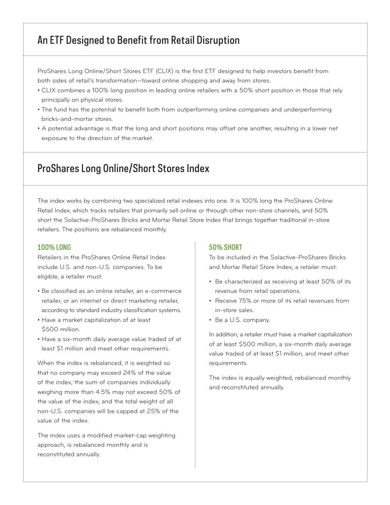### An ETF Designed to Benefit from Retail Disruption

ProShares Long Online/Short Stores ETF (CLIX) is the first ETF designed to help investors benefit from both sides of retail's transformation—toward online shopping and away from stores.

- CLIX combines a 100% long position in leading online retailers with a 50% short position in those that rely principally on physical stores.
- The fund has the potential to benefit both from outperforming online companies and underperforming bricks-and-mortar stores.
- A potential advantage is that the long and short positions may offset one another, resulting in a lower net exposure to the direction of the market.

### ProShares Long Online/Short Stores Index

The index works by combining two specialized retail indexes into one. It is 100% long the ProShares Online Retail Index, which tracks retailers that primarily sell online or through other non-store channels, and 50% short the Solactive-ProShares Bricks and Mortar Retail Store Index that brings together traditional in-store retailers. The positions are rebalanced monthly.

#### 100% LONG

Retailers in the ProShares Online Retail Index include U.S. and non-U.S. companies. To be eligible, a retailer must:

- Be classified as an online retailer, an e-commerce retailer, or an internet or direct marketing retailer, according to standard industry classification systems.
- Have a market capitalization of at least \$500 million.
- Have a six-month daily average value traded of at least \$1 million and meet other requirements.

When the index is rebalanced, it is weighted so that no company may exceed 24% of the value of the index, the sum of companies individually weighing more than 4.5% may not exceed 50% of the value of the index, and the total weight of all non-U.S. companies will be capped at 25% of the value of the index.

The index uses a modified market-cap weighting approach, is rebalanced monthly and is reconstituted annually.

#### 50% SHORT

To be included in the Solactive-ProShares Bricks and Mortar Retail Store Index, a retailer must:

- Be characterized as receiving at least 50% of its revenue from retail operations.
- Receive 75% or more of its retail revenues from in-store sales.
- Be a U.S. company.

In addition, a retailer must have a market capitalization of at least \$500 million, a six-month daily average value traded of at least \$1 million, and meet other requirements.

The index is equally weighted, rebalanced monthly and reconstituted annually.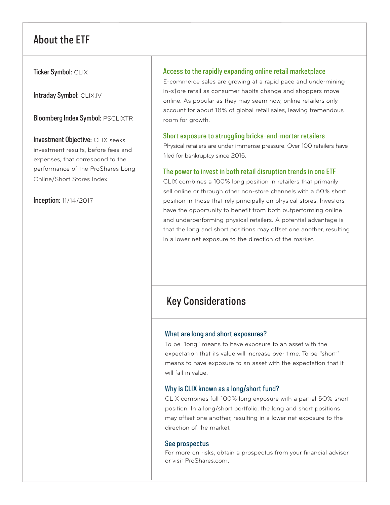### About the ETF

Ticker Symbol: CLIX

Intraday Symbol: CLIX.IV

Bloomberg Index Symbol: PSCLIXTR

Investment Objective: CLIX seeks investment results, before fees and expenses, that correspond to the performance of the ProShares Long Online/Short Stores Index.

Inception: 11/14/2017

### Access to the rapidly expanding online retail marketplace

E-commerce sales are growing at a rapid pace and undermining in-s†ore retail as consumer habits change and shoppers move online. As popular as they may seem now, online retailers only account for about 18% of global retail sales, leaving tremendous room for growth.

### Short exposure to struggling bricks-and-mortar retailers

Physical retailers are under immense pressure. Over 100 retailers have filed for bankruptcy since 2015.

### The power to invest in both retail disruption trends in one ETF

CLIX combines a 100% long position in retailers that primarily sell online or through other non-store channels with a 50% short position in those that rely principally on physical stores. Investors have the opportunity to benefit from both outperforming online and underperforming physical retailers. A potential advantage is that the long and short positions may offset one another, resulting in a lower net exposure to the direction of the market.

### Key Considerations

### What are long and short exposures?

To be "long" means to have exposure to an asset with the expectation that its value will increase over time. To be "short" means to have exposure to an asset with the expectation that it will fall in value.

### Why is CLIX known as a long/short fund?

CLIX combines full 100% long exposure with a partial 5O% short position. In a long/short portfolio, the long and short positions may offset one another, resulting in a lower net exposure to the direction of the market.

#### See prospectus

For more on risks, obtain a prospectus from your financial advisor or visit ProShares.com.